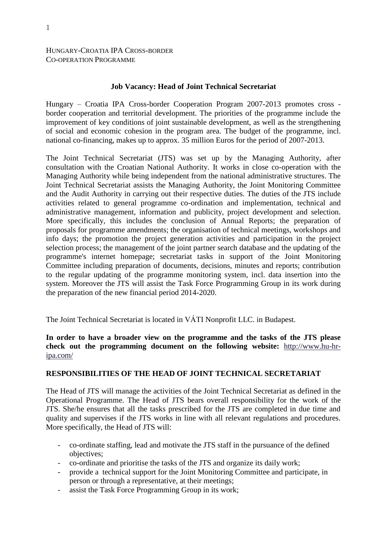#### HUNGARY-CROATIA IPA CROSS-BORDER CO-OPERATION PROGRAMME

#### **Job Vacancy: Head of Joint Technical Secretariat**

Hungary – Croatia IPA Cross-border Cooperation Program 2007-2013 promotes cross border cooperation and territorial development. The priorities of the programme include the improvement of key conditions of joint sustainable development, as well as the strengthening of social and economic cohesion in the program area. The budget of the programme, incl. national co-financing, makes up to approx. 35 million Euros for the period of 2007-2013.

The Joint Technical Secretariat (JTS) was set up by the Managing Authority, after consultation with the Croatian National Authority. It works in close co-operation with the Managing Authority while being independent from the national administrative structures. The Joint Technical Secretariat assists the Managing Authority, the Joint Monitoring Committee and the Audit Authority in carrying out their respective duties. The duties of the JTS include activities related to general programme co-ordination and implementation, technical and administrative management, information and publicity, project development and selection. More specifically, this includes the conclusion of Annual Reports; the preparation of proposals for programme amendments; the organisation of technical meetings, workshops and info days; the promotion the project generation activities and participation in the project selection process; the management of the joint partner search database and the updating of the programme's internet homepage; secretariat tasks in support of the Joint Monitoring Committee including preparation of documents, decisions, minutes and reports; contribution to the regular updating of the programme monitoring system, incl. data insertion into the system. Moreover the JTS will assist the Task Force Programming Group in its work during the preparation of the new financial period 2014-2020.

The Joint Technical Secretariat is located in VÁTI Nonprofit LLC. in Budapest.

**In order to have a broader view on the programme and the tasks of the JTS please check out the programming document on the following website:** [http://www.hu-hr](http://www.hu-hr-ipa.com/)[ipa.com/](http://www.hu-hr-ipa.com/)

#### **RESPONSIBILITIES OF THE HEAD OF JOINT TECHNICAL SECRETARIAT**

The Head of JTS will manage the activities of the Joint Technical Secretariat as defined in the Operational Programme. The Head of JTS bears overall responsibility for the work of the JTS. She/he ensures that all the tasks prescribed for the JTS are completed in due time and quality and supervises if the JTS works in line with all relevant regulations and procedures. More specifically, the Head of JTS will:

- co-ordinate staffing, lead and motivate the JTS staff in the pursuance of the defined objectives;
- co-ordinate and prioritise the tasks of the JTS and organize its daily work;
- provide a technical support for the Joint Monitoring Committee and participate, in person or through a representative, at their meetings;
- assist the Task Force Programming Group in its work;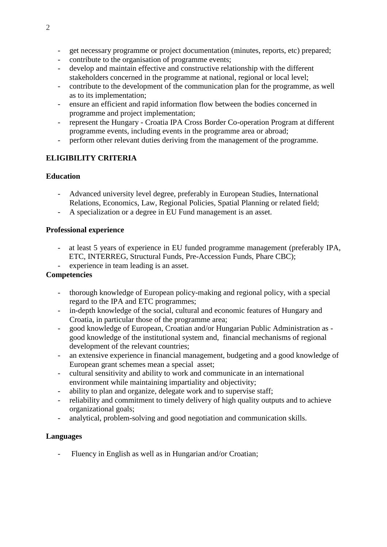- get necessary programme or project documentation (minutes, reports, etc) prepared;
- contribute to the organisation of programme events;
- develop and maintain effective and constructive relationship with the different stakeholders concerned in the programme at national, regional or local level;
- contribute to the development of the communication plan for the programme, as well as to its implementation;
- ensure an efficient and rapid information flow between the bodies concerned in programme and project implementation;
- represent the Hungary Croatia IPA Cross Border Co-operation Program at different programme events, including events in the programme area or abroad;
- perform other relevant duties deriving from the management of the programme.

# **ELIGIBILITY CRITERIA**

### **Education**

- Advanced university level degree, preferably in European Studies, International Relations, Economics, Law, Regional Policies, Spatial Planning or related field;
- A specialization or a degree in EU Fund management is an asset.

#### **Professional experience**

- at least 5 years of experience in EU funded programme management (preferably IPA, ETC, INTERREG, Structural Funds, Pre-Accession Funds, Phare CBC);
- experience in team leading is an asset.

## **Competencies**

- thorough knowledge of European policy-making and regional policy, with a special regard to the IPA and ETC programmes;
- in-depth knowledge of the social, cultural and economic features of Hungary and Croatia, in particular those of the programme area;
- good knowledge of European, Croatian and/or Hungarian Public Administration as good knowledge of the institutional system and, financial mechanisms of regional development of the relevant countries;
- an extensive experience in financial management, budgeting and a good knowledge of European grant schemes mean a special asset;
- cultural sensitivity and ability to work and communicate in an international environment while maintaining impartiality and objectivity;
- ability to plan and organize, delegate work and to supervise staff;
- reliability and commitment to timely delivery of high quality outputs and to achieve organizational goals;
- analytical, problem-solving and good negotiation and communication skills.

#### **Languages**

- Fluency in English as well as in Hungarian and/or Croatian;